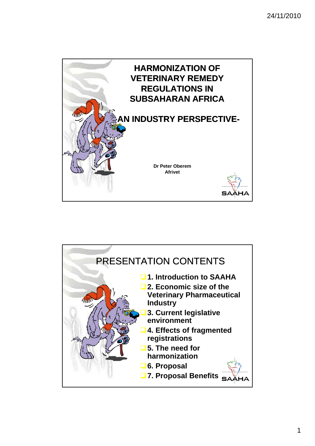

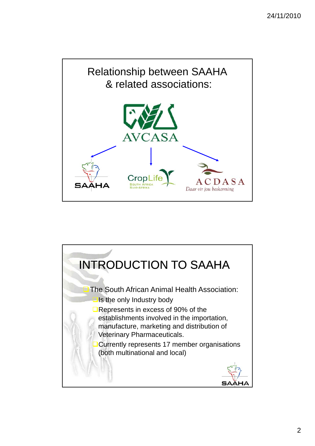

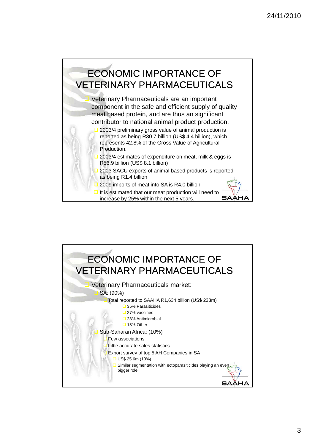

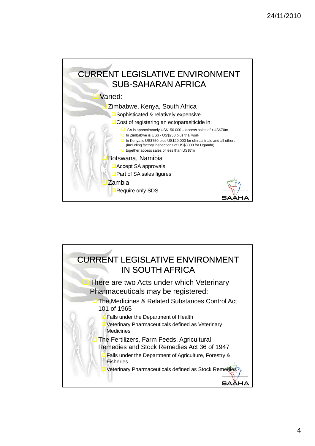

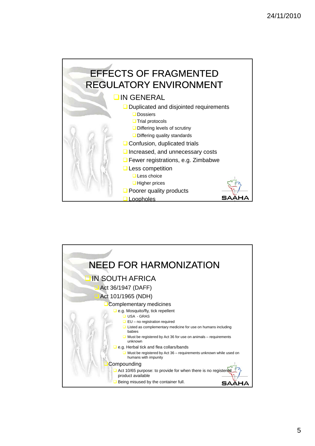

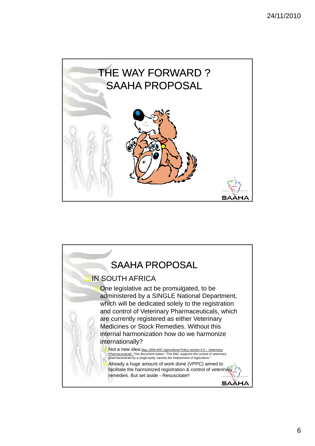

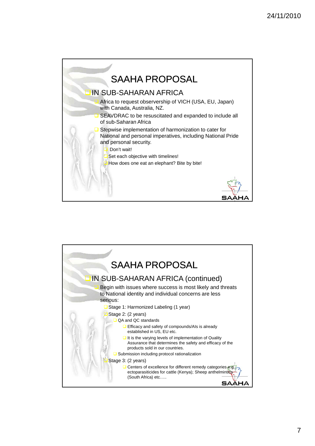

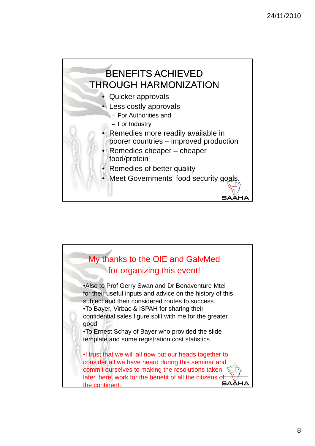